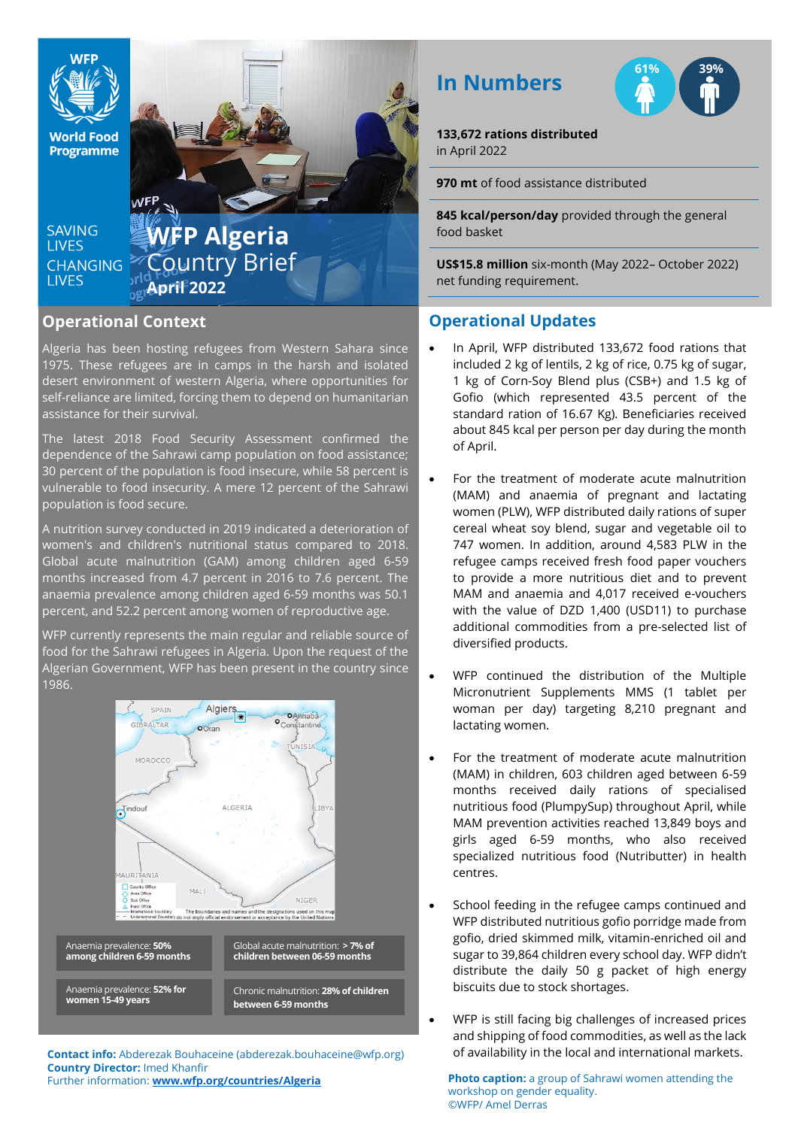

**World Food Programme** 

SAVING **TIVES CHANGING LIVES** 

**WFP Algeria** Country Brief **April 2022** 

### **Operational Context**

Algeria has been hosting refugees from Western Sahara since 1975. These refugees are in camps in the harsh and isolated desert environment of western Algeria, where opportunities for self-reliance are limited, forcing them to depend on humanitarian assistance for their survival.

The latest 2018 Food Security Assessment confirmed the dependence of the Sahrawi camp population on food assistance; 30 percent of the population is food insecure, while 58 percent is vulnerable to food insecurity. A mere 12 percent of the Sahrawi population is food secure.

A nutrition survey conducted in 2019 indicated a deterioration of women's and children's nutritional status compared to 2018. Global acute malnutrition (GAM) among children aged 6-59 months increased from 4.7 percent in 2016 to 7.6 percent. The anaemia prevalence among children aged 6-59 months was 50.1 percent, and 52.2 percent among women of reproductive age.

WFP currently represents the main regular and reliable source of food for the Sahrawi refugees in Algeria. Upon the request of the Algerian Government, WFP has been present in the country since 1986.



**Country Director:** Imed Khanfir Further information: **[www.wfp.org/countries/Algeria](http://www.wfp.org/countries/Algeria)** **In Numbers**



**133,672 rations distributed**  in April 2022

**970 mt** of food assistance distributed

**845 kcal/person/day** provided through the general food basket

**US\$15.8 million** six-month (May 2022– October 2022) net funding requirement.

### **Operational Updates**

- In April, WFP distributed 133,672 food rations that included 2 kg of lentils, 2 kg of rice, 0.75 kg of sugar, 1 kg of Corn-Soy Blend plus (CSB+) and 1.5 kg of Gofio (which represented 43.5 percent of the standard ration of 16.67 Kg). Beneficiaries received about 845 kcal per person per day during the month of April.
- For the treatment of moderate acute malnutrition (MAM) and anaemia of pregnant and lactating women (PLW), WFP distributed daily rations of super cereal wheat soy blend, sugar and vegetable oil to 747 women. In addition, around 4,583 PLW in the refugee camps received fresh food paper vouchers to provide a more nutritious diet and to prevent MAM and anaemia and 4,017 received e-vouchers with the value of DZD 1,400 (USD11) to purchase additional commodities from a pre-selected list of diversified products.
- WFP continued the distribution of the Multiple Micronutrient Supplements MMS (1 tablet per woman per day) targeting 8,210 pregnant and lactating women.
- For the treatment of moderate acute malnutrition (MAM) in children, 603 children aged between 6-59 months received daily rations of specialised nutritious food (PlumpySup) throughout April, while MAM prevention activities reached 13,849 boys and girls aged 6-59 months, who also received specialized nutritious food (Nutributter) in health centres.
- School feeding in the refugee camps continued and WFP distributed nutritious gofio porridge made from gofio, dried skimmed milk, vitamin-enriched oil and sugar to 39,864 children every school day. WFP didn't distribute the daily 50 g packet of high energy biscuits due to stock shortages.
- WFP is still facing big challenges of increased prices and shipping of food commodities, as well as the lack **Contact info:** Abderezak Bouhaceine (abderezak.bouhaceine@wfp.org) of availability in the local and international markets.

**Photo caption:** a group of Sahrawi women attending the workshop on gender equality. ©WFP/ Amel Derras